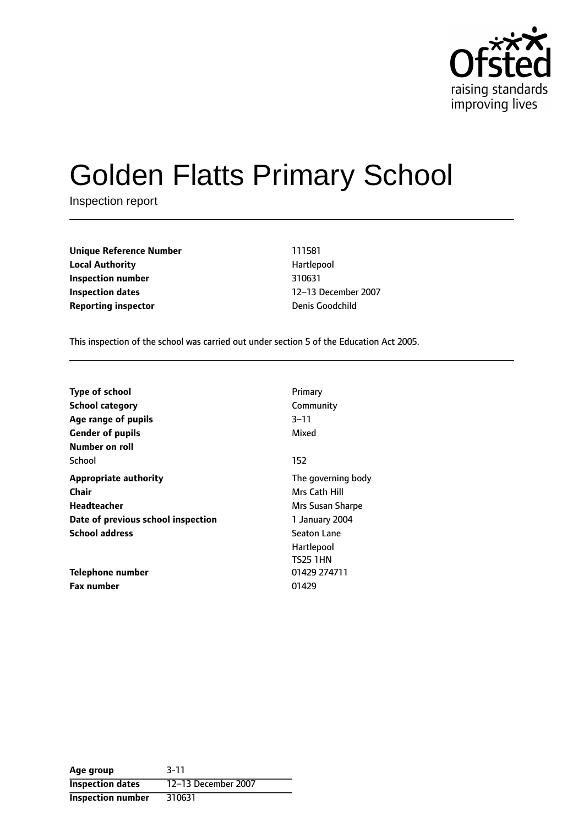

# Golden Flatts Primary School

Inspection report

**Unique Reference Number** 111581 **Local Authority Hartlepool Inspection number** 310631 **Inspection dates** 12-13 December 2007 **Reporting inspector Denis Goodchild** 

This inspection of the school was carried out under section 5 of the Education Act 2005.

| <b>Type of school</b>              | Primary            |
|------------------------------------|--------------------|
| <b>School category</b>             | Community          |
| Age range of pupils                | 3–11               |
| <b>Gender of pupils</b>            | Mixed              |
| Number on roll                     |                    |
| School                             | 152                |
| <b>Appropriate authority</b>       | The governing body |
| Chair                              | Mrs Cath Hill      |
| Headteacher                        | Mrs Susan Sharpe   |
| Date of previous school inspection | 1 January 2004     |
| <b>School address</b>              | <b>Seaton Lane</b> |
|                                    | Hartlepool         |
|                                    | <b>TS25 1HN</b>    |
| Telephone number                   | 01429 274711       |
| <b>Fax number</b>                  | 01429              |

**Age group** 3-11 **Inspection dates** 12-13 December 2007 **Inspection number** 310631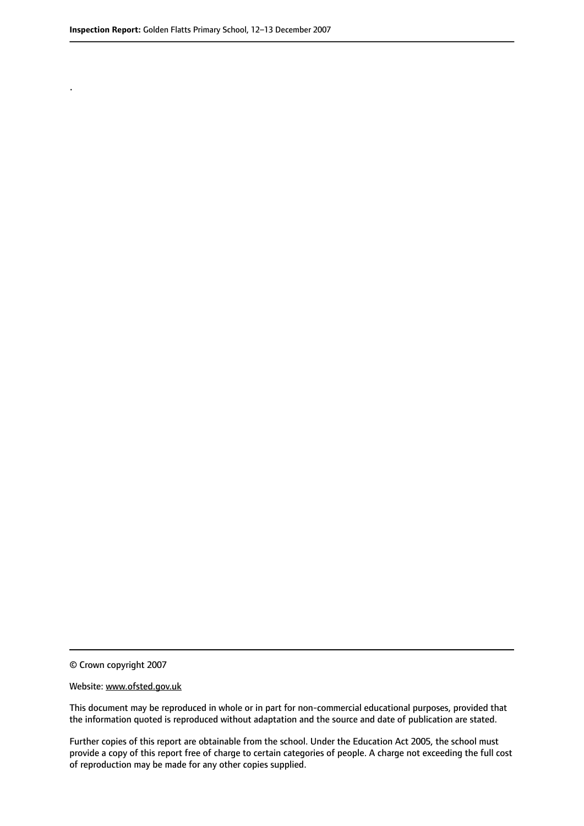.

© Crown copyright 2007

#### Website: www.ofsted.gov.uk

This document may be reproduced in whole or in part for non-commercial educational purposes, provided that the information quoted is reproduced without adaptation and the source and date of publication are stated.

Further copies of this report are obtainable from the school. Under the Education Act 2005, the school must provide a copy of this report free of charge to certain categories of people. A charge not exceeding the full cost of reproduction may be made for any other copies supplied.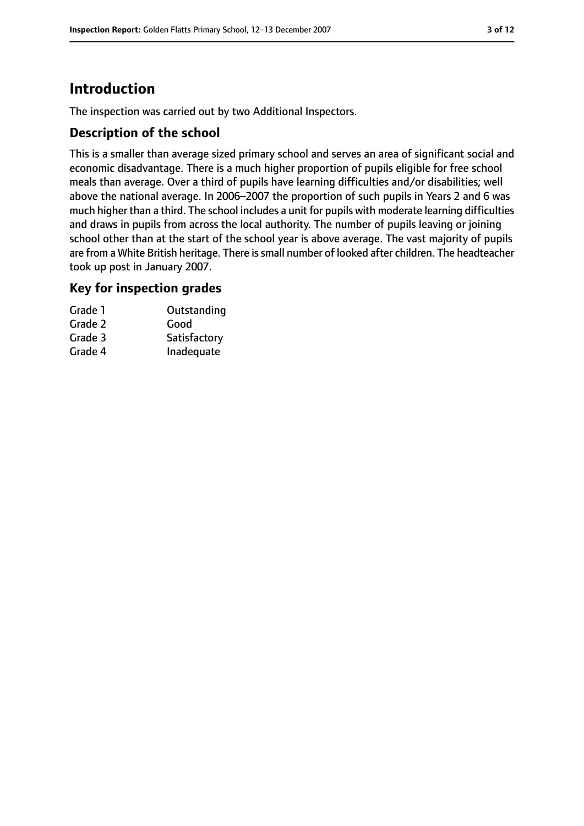# **Introduction**

The inspection was carried out by two Additional Inspectors.

## **Description of the school**

This is a smaller than average sized primary school and serves an area of significant social and economic disadvantage. There is a much higher proportion of pupils eligible for free school meals than average. Over a third of pupils have learning difficulties and/or disabilities; well above the national average. In 2006-2007 the proportion of such pupils in Years 2 and 6 was much higher than a third. The school includes a unit for pupils with moderate learning difficulties and draws in pupils from across the local authority. The number of pupils leaving or joining school other than at the start of the school year is above average. The vast majority of pupils are from a White British heritage. There is small number of looked after children. The headteacher took up post in January 2007.

#### **Key for inspection grades**

| Grade 1 | Outstanding  |
|---------|--------------|
| Grade 2 | Good         |
| Grade 3 | Satisfactory |
| Grade 4 | Inadequate   |
|         |              |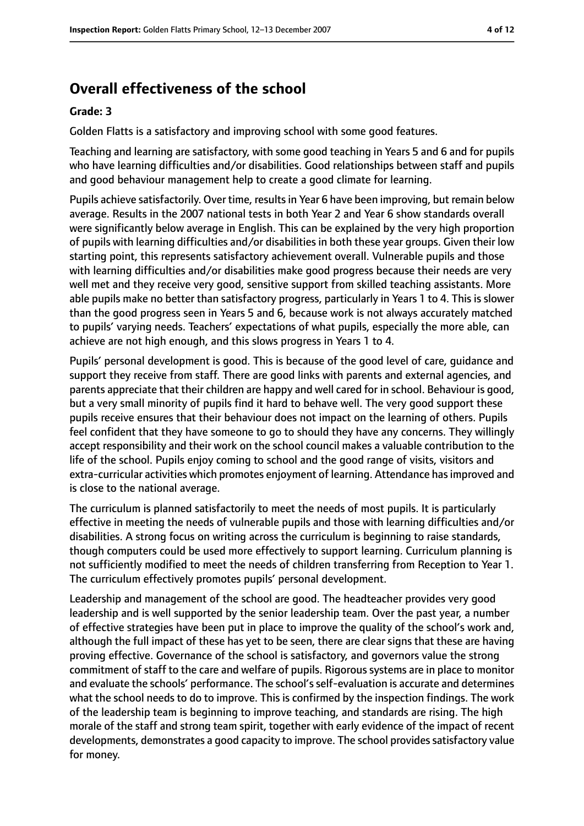# **Overall effectiveness of the school**

#### **Grade: 3**

Golden Flatts is a satisfactory and improving school with some good features.

Teaching and learning are satisfactory, with some good teaching in Years 5 and 6 and for pupils who have learning difficulties and/or disabilities. Good relationships between staff and pupils and good behaviour management help to create a good climate for learning.

Pupils achieve satisfactorily. Over time, resultsin Year 6 have been improving, but remain below average. Results in the 2007 national tests in both Year 2 and Year 6 show standards overall were significantly below average in English. This can be explained by the very high proportion of pupils with learning difficulties and/or disabilities in both these year groups. Given their low starting point, this represents satisfactory achievement overall. Vulnerable pupils and those with learning difficulties and/or disabilities make good progress because their needs are very well met and they receive very good, sensitive support from skilled teaching assistants. More able pupils make no better than satisfactory progress, particularly in Years 1 to 4. This is slower than the good progress seen in Years 5 and 6, because work is not always accurately matched to pupils' varying needs. Teachers' expectations of what pupils, especially the more able, can achieve are not high enough, and this slows progress in Years 1 to 4.

Pupils' personal development is good. This is because of the good level of care, guidance and support they receive from staff. There are good links with parents and external agencies, and parents appreciate that their children are happy and well cared for in school. Behaviour is good, but a very small minority of pupils find it hard to behave well. The very good support these pupils receive ensures that their behaviour does not impact on the learning of others. Pupils feel confident that they have someone to go to should they have any concerns. They willingly accept responsibility and their work on the school council makes a valuable contribution to the life of the school. Pupils enjoy coming to school and the good range of visits, visitors and extra-curricular activities which promotes enjoyment of learning. Attendance hasimproved and is close to the national average.

The curriculum is planned satisfactorily to meet the needs of most pupils. It is particularly effective in meeting the needs of vulnerable pupils and those with learning difficulties and/or disabilities. A strong focus on writing across the curriculum is beginning to raise standards, though computers could be used more effectively to support learning. Curriculum planning is not sufficiently modified to meet the needs of children transferring from Reception to Year 1. The curriculum effectively promotes pupils' personal development.

Leadership and management of the school are good. The headteacher provides very good leadership and is well supported by the senior leadership team. Over the past year, a number of effective strategies have been put in place to improve the quality of the school's work and, although the full impact of these has yet to be seen, there are clear signs that these are having proving effective. Governance of the school is satisfactory, and governors value the strong commitment of staff to the care and welfare of pupils. Rigorous systems are in place to monitor and evaluate the schools' performance. The school's self-evaluation is accurate and determines what the school needs to do to improve. This is confirmed by the inspection findings. The work of the leadership team is beginning to improve teaching, and standards are rising. The high morale of the staff and strong team spirit, together with early evidence of the impact of recent developments, demonstrates a good capacity to improve. The school provides satisfactory value for money.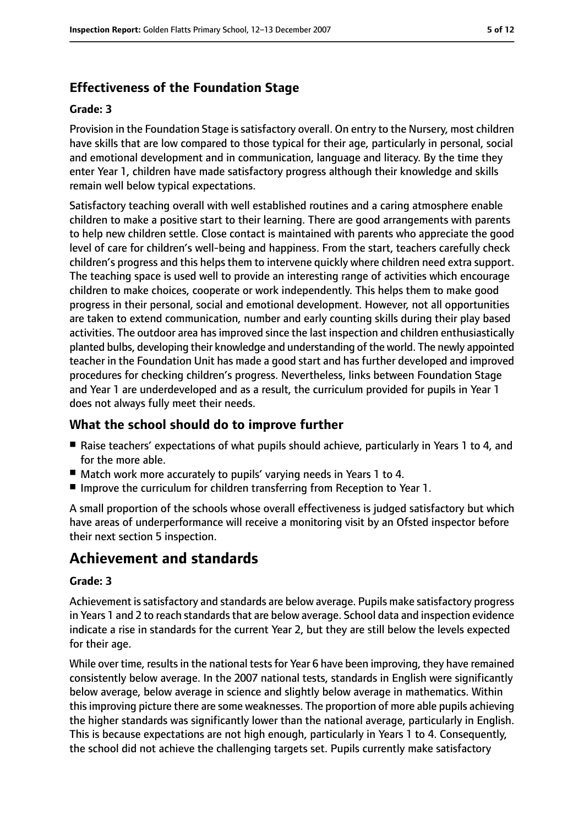## **Effectiveness of the Foundation Stage**

#### **Grade: 3**

Provision in the Foundation Stage is satisfactory overall. On entry to the Nursery, most children have skills that are low compared to those typical for their age, particularly in personal, social and emotional development and in communication, language and literacy. By the time they enter Year 1, children have made satisfactory progress although their knowledge and skills remain well below typical expectations.

Satisfactory teaching overall with well established routines and a caring atmosphere enable children to make a positive start to their learning. There are good arrangements with parents to help new children settle. Close contact is maintained with parents who appreciate the good level of care for children's well-being and happiness. From the start, teachers carefully check children's progress and this helps them to intervene quickly where children need extra support. The teaching space is used well to provide an interesting range of activities which encourage children to make choices, cooperate or work independently. This helps them to make good progress in their personal, social and emotional development. However, not all opportunities are taken to extend communication, number and early counting skills during their play based activities. The outdoor area has improved since the last inspection and children enthusiastically planted bulbs, developing their knowledge and understanding of the world. The newly appointed teacher in the Foundation Unit has made a good start and has further developed and improved procedures for checking children's progress. Nevertheless, links between Foundation Stage and Year 1 are underdeveloped and as a result, the curriculum provided for pupils in Year 1 does not always fully meet their needs.

## **What the school should do to improve further**

- Raise teachers' expectations of what pupils should achieve, particularly in Years 1 to 4, and for the more able.
- Match work more accurately to pupils' varying needs in Years 1 to 4.
- Improve the curriculum for children transferring from Reception to Year 1.

A small proportion of the schools whose overall effectiveness is judged satisfactory but which have areas of underperformance will receive a monitoring visit by an Ofsted inspector before their next section 5 inspection.

# **Achievement and standards**

#### **Grade: 3**

Achievement issatisfactory and standards are below average. Pupils make satisfactory progress in Years 1 and 2 to reach standards that are below average. School data and inspection evidence indicate a rise in standards for the current Year 2, but they are still below the levels expected for their age.

While over time, results in the national tests for Year 6 have been improving, they have remained consistently below average. In the 2007 national tests, standards in English were significantly below average, below average in science and slightly below average in mathematics. Within thisimproving picture there are some weaknesses. The proportion of more able pupils achieving the higher standards was significantly lower than the national average, particularly in English. This is because expectations are not high enough, particularly in Years 1 to 4. Consequently, the school did not achieve the challenging targets set. Pupils currently make satisfactory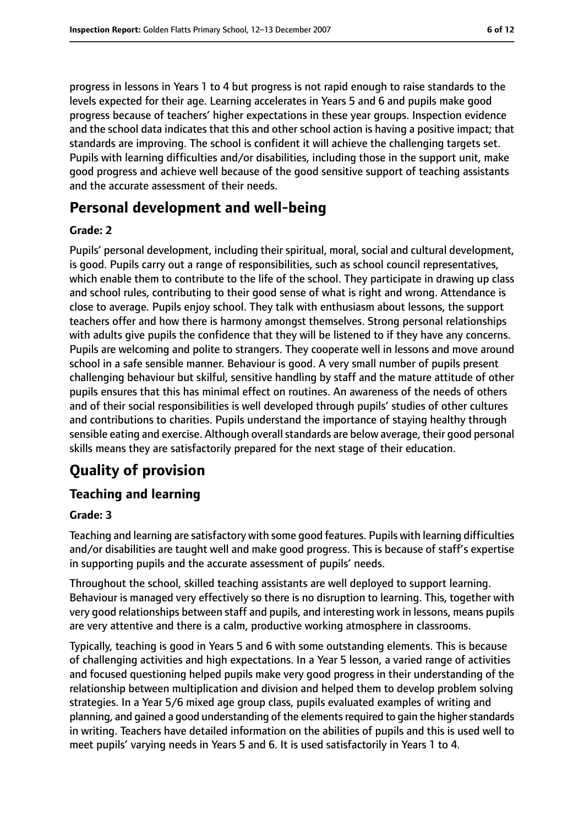progress in lessons in Years 1 to 4 but progress is not rapid enough to raise standards to the levels expected for their age. Learning accelerates in Years 5 and 6 and pupils make good progress because of teachers' higher expectations in these year groups. Inspection evidence and the school data indicates that this and other school action is having a positive impact; that standards are improving. The school is confident it will achieve the challenging targets set. Pupils with learning difficulties and/or disabilities, including those in the support unit, make good progress and achieve well because of the good sensitive support of teaching assistants and the accurate assessment of their needs.

## **Personal development and well-being**

#### **Grade: 2**

Pupils' personal development, including their spiritual, moral, social and cultural development, is good. Pupils carry out a range of responsibilities, such as school council representatives, which enable them to contribute to the life of the school. They participate in drawing up class and school rules, contributing to their good sense of what is right and wrong. Attendance is close to average. Pupils enjoy school. They talk with enthusiasm about lessons, the support teachers offer and how there is harmony amongst themselves. Strong personal relationships with adults give pupils the confidence that they will be listened to if they have any concerns. Pupils are welcoming and polite to strangers. They cooperate well in lessons and move around school in a safe sensible manner. Behaviour is good. A very small number of pupils present challenging behaviour but skilful, sensitive handling by staff and the mature attitude of other pupils ensures that this has minimal effect on routines. An awareness of the needs of others and of their social responsibilities is well developed through pupils' studies of other cultures and contributions to charities. Pupils understand the importance of staying healthy through sensible eating and exercise. Although overall standards are below average, their good personal skills means they are satisfactorily prepared for the next stage of their education.

# **Quality of provision**

#### **Teaching and learning**

#### **Grade: 3**

Teaching and learning are satisfactory with some good features. Pupils with learning difficulties and/or disabilities are taught well and make good progress. This is because of staff's expertise in supporting pupils and the accurate assessment of pupils' needs.

Throughout the school, skilled teaching assistants are well deployed to support learning. Behaviour is managed very effectively so there is no disruption to learning. This, together with very good relationships between staff and pupils, and interesting work in lessons, means pupils are very attentive and there is a calm, productive working atmosphere in classrooms.

Typically, teaching is good in Years 5 and 6 with some outstanding elements. This is because of challenging activities and high expectations. In a Year 5 lesson, a varied range of activities and focused questioning helped pupils make very good progress in their understanding of the relationship between multiplication and division and helped them to develop problem solving strategies. In a Year 5/6 mixed age group class, pupils evaluated examples of writing and planning, and gained a good understanding of the elements required to gain the higher standards in writing. Teachers have detailed information on the abilities of pupils and this is used well to meet pupils' varying needs in Years 5 and 6. It is used satisfactorily in Years 1 to 4.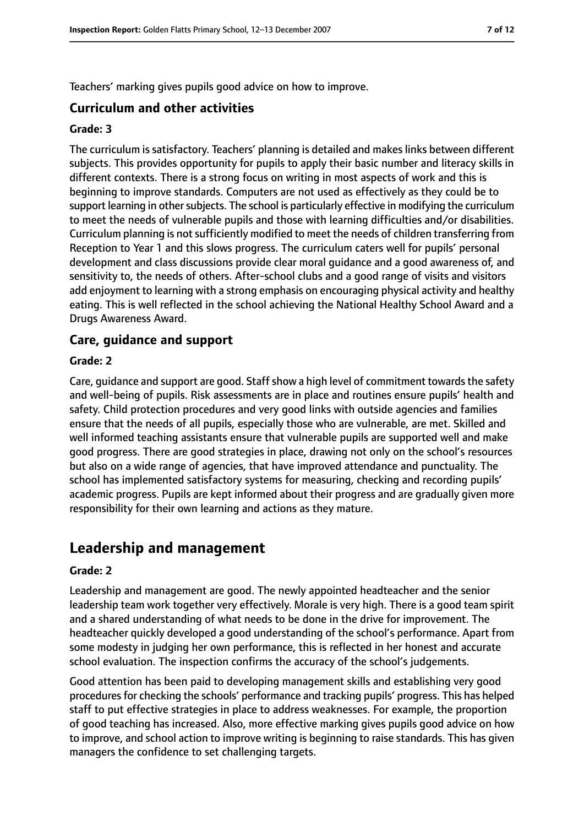Teachers' marking gives pupils good advice on how to improve.

#### **Curriculum and other activities**

#### **Grade: 3**

The curriculum is satisfactory. Teachers' planning is detailed and makes links between different subjects. This provides opportunity for pupils to apply their basic number and literacy skills in different contexts. There is a strong focus on writing in most aspects of work and this is beginning to improve standards. Computers are not used as effectively as they could be to support learning in other subjects. The school is particularly effective in modifying the curriculum to meet the needs of vulnerable pupils and those with learning difficulties and/or disabilities. Curriculum planning is notsufficiently modified to meet the needs of children transferring from Reception to Year 1 and this slows progress. The curriculum caters well for pupils' personal development and class discussions provide clear moral guidance and a good awareness of, and sensitivity to, the needs of others. After-school clubs and a good range of visits and visitors add enjoyment to learning with a strong emphasis on encouraging physical activity and healthy eating. This is well reflected in the school achieving the National Healthy School Award and a Drugs Awareness Award.

#### **Care, guidance and support**

#### **Grade: 2**

Care, guidance and support are good. Staff show a high level of commitment towards the safety and well-being of pupils. Risk assessments are in place and routines ensure pupils' health and safety. Child protection procedures and very good links with outside agencies and families ensure that the needs of all pupils, especially those who are vulnerable, are met. Skilled and well informed teaching assistants ensure that vulnerable pupils are supported well and make good progress. There are good strategies in place, drawing not only on the school's resources but also on a wide range of agencies, that have improved attendance and punctuality. The school has implemented satisfactory systems for measuring, checking and recording pupils' academic progress. Pupils are kept informed about their progress and are gradually given more responsibility for their own learning and actions as they mature.

## **Leadership and management**

#### **Grade: 2**

Leadership and management are good. The newly appointed headteacher and the senior leadership team work together very effectively. Morale is very high. There is a good team spirit and a shared understanding of what needs to be done in the drive for improvement. The headteacher quickly developed a good understanding of the school's performance. Apart from some modesty in judging her own performance, this is reflected in her honest and accurate school evaluation. The inspection confirms the accuracy of the school's judgements.

Good attention has been paid to developing management skills and establishing very good procedures for checking the schools' performance and tracking pupils' progress. This has helped staff to put effective strategies in place to address weaknesses. For example, the proportion of good teaching has increased. Also, more effective marking gives pupils good advice on how to improve, and school action to improve writing is beginning to raise standards. This has given managers the confidence to set challenging targets.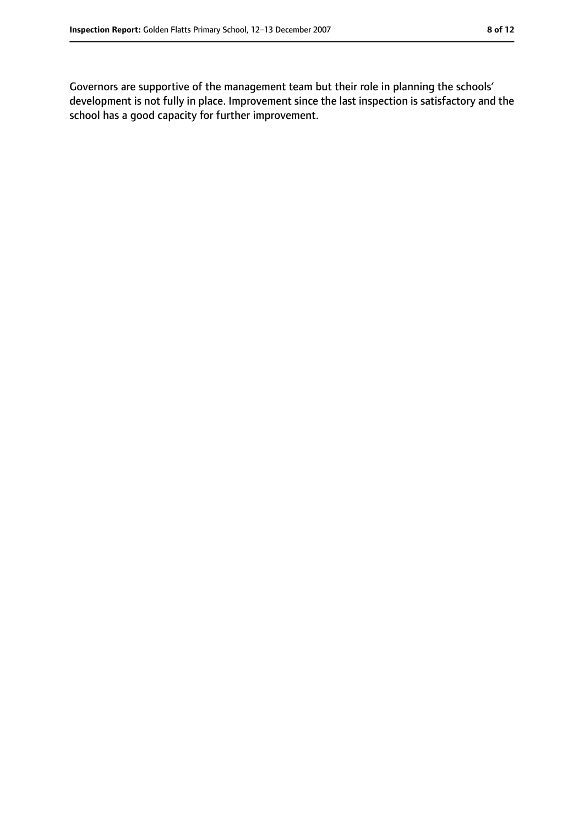Governors are supportive of the management team but their role in planning the schools' development is not fully in place. Improvement since the last inspection is satisfactory and the school has a good capacity for further improvement.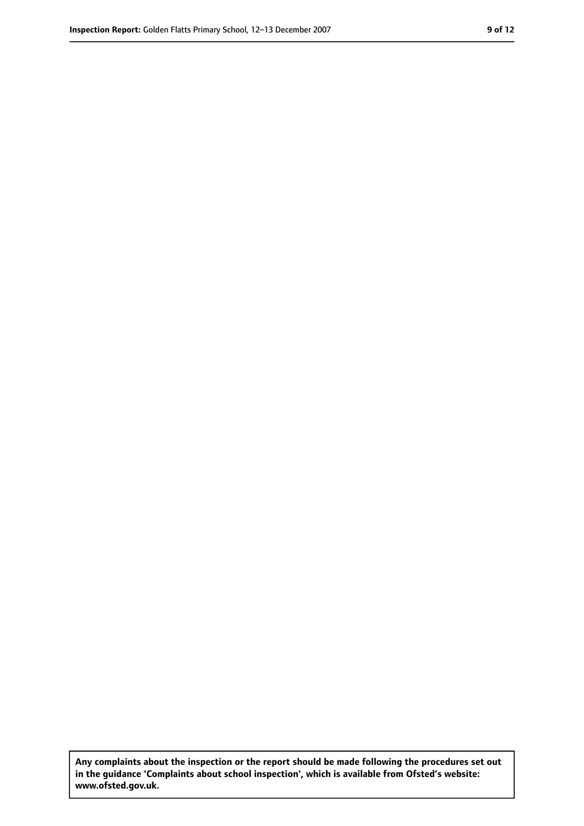**Any complaints about the inspection or the report should be made following the procedures set out in the guidance 'Complaints about school inspection', which is available from Ofsted's website: www.ofsted.gov.uk.**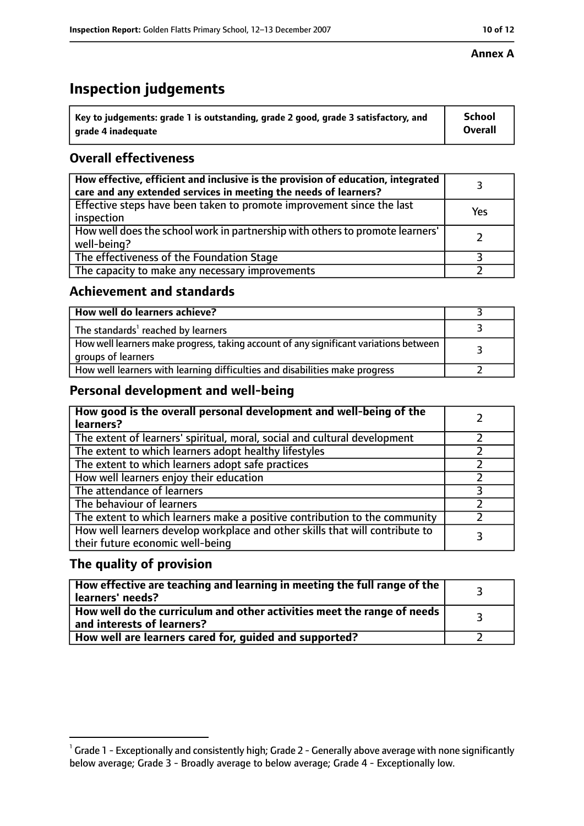# **Inspection judgements**

| $^{\backprime}$ Key to judgements: grade 1 is outstanding, grade 2 good, grade 3 satisfactory, and | <b>School</b>  |
|----------------------------------------------------------------------------------------------------|----------------|
| arade 4 inadequate                                                                                 | <b>Overall</b> |

## **Overall effectiveness**

| How effective, efficient and inclusive is the provision of education, integrated<br>care and any extended services in meeting the needs of learners? |     |
|------------------------------------------------------------------------------------------------------------------------------------------------------|-----|
| Effective steps have been taken to promote improvement since the last<br>inspection                                                                  | Yes |
| How well does the school work in partnership with others to promote learners'<br>well-being?                                                         |     |
| The effectiveness of the Foundation Stage                                                                                                            |     |
| The capacity to make any necessary improvements                                                                                                      |     |

## **Achievement and standards**

| How well do learners achieve?                                                                               |  |
|-------------------------------------------------------------------------------------------------------------|--|
| The standards <sup>1</sup> reached by learners                                                              |  |
| How well learners make progress, taking account of any significant variations between<br>groups of learners |  |
| How well learners with learning difficulties and disabilities make progress                                 |  |

## **Personal development and well-being**

| How good is the overall personal development and well-being of the<br>learners?                                  |  |
|------------------------------------------------------------------------------------------------------------------|--|
| The extent of learners' spiritual, moral, social and cultural development                                        |  |
| The extent to which learners adopt healthy lifestyles                                                            |  |
| The extent to which learners adopt safe practices                                                                |  |
| How well learners enjoy their education                                                                          |  |
| The attendance of learners                                                                                       |  |
| The behaviour of learners                                                                                        |  |
| The extent to which learners make a positive contribution to the community                                       |  |
| How well learners develop workplace and other skills that will contribute to<br>their future economic well-being |  |

## **The quality of provision**

| How effective are teaching and learning in meeting the full range of the<br>learners' needs?          |  |
|-------------------------------------------------------------------------------------------------------|--|
| How well do the curriculum and other activities meet the range of needs<br>and interests of learners? |  |
| How well are learners cared for, guided and supported?                                                |  |

 $^1$  Grade 1 - Exceptionally and consistently high; Grade 2 - Generally above average with none significantly below average; Grade 3 - Broadly average to below average; Grade 4 - Exceptionally low.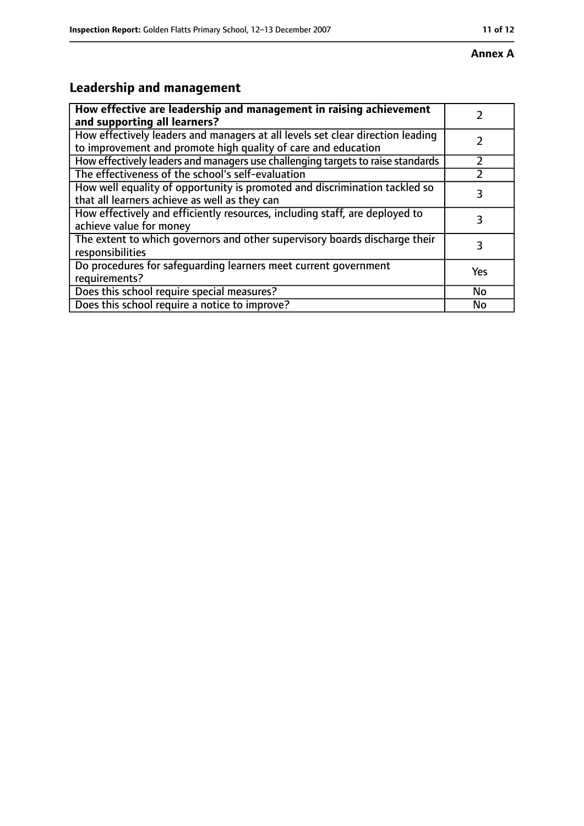# **Leadership and management**

| How effective are leadership and management in raising achievement<br>and supporting all learners?                                              |           |
|-------------------------------------------------------------------------------------------------------------------------------------------------|-----------|
| How effectively leaders and managers at all levels set clear direction leading<br>to improvement and promote high quality of care and education |           |
| How effectively leaders and managers use challenging targets to raise standards                                                                 |           |
| The effectiveness of the school's self-evaluation                                                                                               |           |
| How well equality of opportunity is promoted and discrimination tackled so<br>that all learners achieve as well as they can                     | 3         |
| How effectively and efficiently resources, including staff, are deployed to<br>achieve value for money                                          | 3         |
| The extent to which governors and other supervisory boards discharge their<br>responsibilities                                                  | 3         |
| Do procedures for safequarding learners meet current government<br>requirements?                                                                | Yes       |
| Does this school require special measures?                                                                                                      | <b>No</b> |
| Does this school require a notice to improve?                                                                                                   | No        |